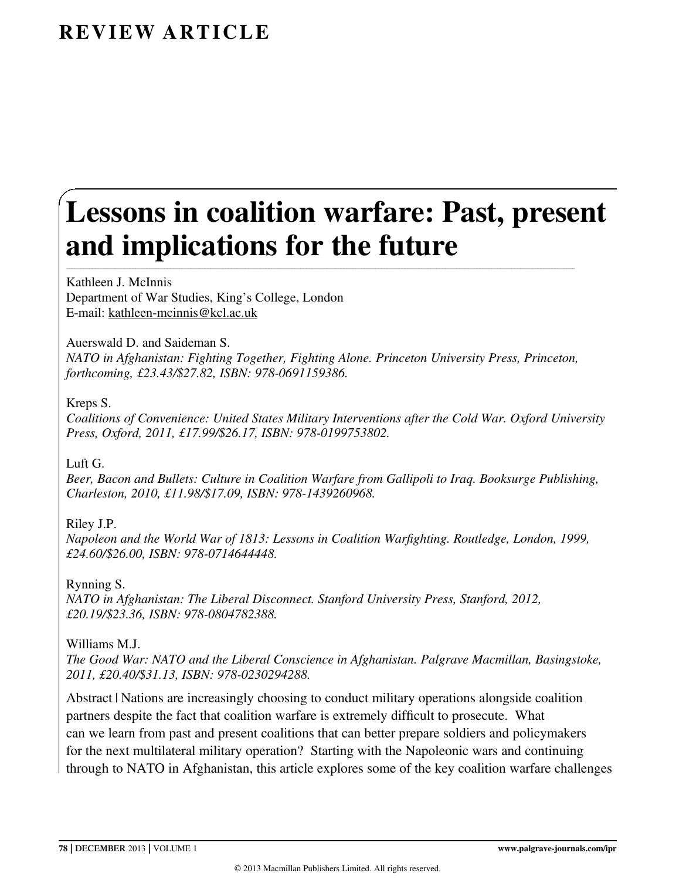## REVIEW ARTICLE

# Lessons in coalition warfare: Past, present and implications for the future

Kathleen J. McInnis Department of War Studies, King's College, London E-mail: kathleen-mcinnis@kcl.ac.uk

Auerswald D. and Saideman S.

NATO in Afghanistan: Fighting Together, Fighting Alone. Princeton University Press, Princeton, forthcoming, £23.43/\$27.82, ISBN: 978-0691159386.

\_\_\_\_\_\_\_\_\_\_\_\_\_\_\_\_\_\_\_\_\_\_\_\_\_\_\_\_\_\_\_\_\_\_\_\_\_\_\_\_\_\_\_\_\_\_\_\_\_\_\_\_\_\_\_\_\_\_\_\_\_\_\_\_\_\_\_\_\_\_\_\_\_\_\_\_\_\_\_\_\_\_\_\_\_\_\_\_\_\_\_\_\_\_\_\_\_\_\_\_\_\_\_\_\_\_\_\_\_\_\_\_\_\_\_\_\_\_\_\_\_\_\_\_\_\_\_\_\_\_\_\_\_\_\_\_\_\_\_\_\_\_\_\_\_\_\_\_\_\_\_\_\_\_\_\_\_\_\_\_\_\_\_\_\_\_\_\_\_\_\_\_\_\_\_\_

### Kreps S.

Coalitions of Convenience: United States Military Interventions after the Cold War. Oxford University Press, Oxford, 2011, £17.99/\$26.17, ISBN: 978-0199753802.

Luft G.

Beer, Bacon and Bullets: Culture in Coalition Warfare from Gallipoli to Iraq. Booksurge Publishing, Charleston, 2010, £11.98/\$17.09, ISBN: 978-1439260968.

Riley J.P.

Napoleon and the World War of 1813: Lessons in Coalition Warfighting. Routledge, London, 1999, £24.60/\$26.00, ISBN: 978-0714644448.

Rynning S.

NATO in Afghanistan: The Liberal Disconnect. Stanford University Press, Stanford, 2012, £20.19/\$23.36, ISBN: 978-0804782388.

Williams M.J.

The Good War: NATO and the Liberal Conscience in Afghanistan. Palgrave Macmillan, Basingstoke, 2011, £20.40/\$31.13, ISBN: 978-0230294288.

Abstract | Nations are increasingly choosing to conduct military operations alongside coalition partners despite the fact that coalition warfare is extremely difficult to prosecute. What can we learn from past and present coalitions that can better prepare soldiers and policymakers for the next multilateral military operation? Starting with the Napoleonic wars and continuing through to NATO in Afghanistan, this article explores some of the key coalition warfare challenges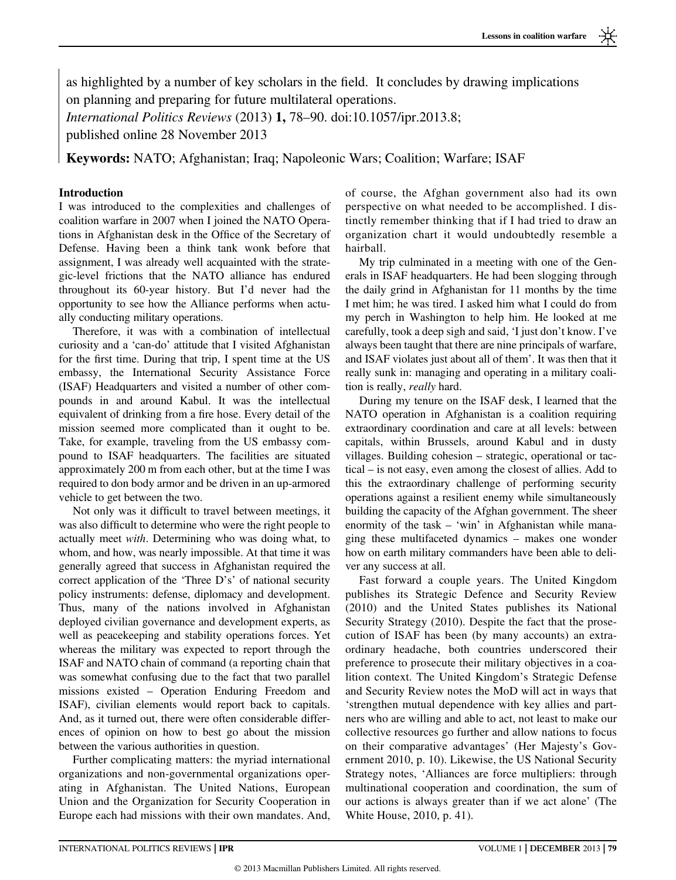as highlighted by a number of key scholars in the field. It concludes by drawing implications on planning and preparing for future multilateral operations.

International Politics Reviews (2013) 1, 78–90. doi:10.1057/ipr.2013.8;

published online 28 November 2013

Keywords: NATO; Afghanistan; Iraq; Napoleonic Wars; Coalition; Warfare; ISAF

#### Introduction

I was introduced to the complexities and challenges of coalition warfare in 2007 when I joined the NATO Operations in Afghanistan desk in the Office of the Secretary of Defense. Having been a think tank wonk before that assignment, I was already well acquainted with the strategic-level frictions that the NATO alliance has endured throughout its 60-year history. But I'd never had the opportunity to see how the Alliance performs when actually conducting military operations.

Therefore, it was with a combination of intellectual curiosity and a 'can-do' attitude that I visited Afghanistan for the first time. During that trip, I spent time at the US embassy, the International Security Assistance Force (ISAF) Headquarters and visited a number of other compounds in and around Kabul. It was the intellectual equivalent of drinking from a fire hose. Every detail of the mission seemed more complicated than it ought to be. Take, for example, traveling from the US embassy compound to ISAF headquarters. The facilities are situated approximately 200 m from each other, but at the time I was required to don body armor and be driven in an up-armored vehicle to get between the two.

Not only was it difficult to travel between meetings, it was also difficult to determine who were the right people to actually meet with. Determining who was doing what, to whom, and how, was nearly impossible. At that time it was generally agreed that success in Afghanistan required the correct application of the 'Three D's' of national security policy instruments: defense, diplomacy and development. Thus, many of the nations involved in Afghanistan deployed civilian governance and development experts, as well as peacekeeping and stability operations forces. Yet whereas the military was expected to report through the ISAF and NATO chain of command (a reporting chain that was somewhat confusing due to the fact that two parallel missions existed – Operation Enduring Freedom and ISAF), civilian elements would report back to capitals. And, as it turned out, there were often considerable differences of opinion on how to best go about the mission between the various authorities in question.

Further complicating matters: the myriad international organizations and non-governmental organizations operating in Afghanistan. The United Nations, European Union and the Organization for Security Cooperation in Europe each had missions with their own mandates. And, of course, the Afghan government also had its own perspective on what needed to be accomplished. I distinctly remember thinking that if I had tried to draw an organization chart it would undoubtedly resemble a hairball.

My trip culminated in a meeting with one of the Generals in ISAF headquarters. He had been slogging through the daily grind in Afghanistan for 11 months by the time I met him; he was tired. I asked him what I could do from my perch in Washington to help him. He looked at me carefully, took a deep sigh and said, 'I just don't know. I've always been taught that there are nine principals of warfare, and ISAF violates just about all of them'. It was then that it really sunk in: managing and operating in a military coalition is really, really hard.

During my tenure on the ISAF desk, I learned that the NATO operation in Afghanistan is a coalition requiring extraordinary coordination and care at all levels: between capitals, within Brussels, around Kabul and in dusty villages. Building cohesion – strategic, operational or tactical – is not easy, even among the closest of allies. Add to this the extraordinary challenge of performing security operations against a resilient enemy while simultaneously building the capacity of the Afghan government. The sheer enormity of the task – 'win' in Afghanistan while managing these multifaceted dynamics – makes one wonder how on earth military commanders have been able to deliver any success at all.

Fast forward a couple years. The United Kingdom publishes its Strategic Defence and Security Review (2010) and the United States publishes its National Security Strategy (2010). Despite the fact that the prosecution of ISAF has been (by many accounts) an extraordinary headache, both countries underscored their preference to prosecute their military objectives in a coalition context. The United Kingdom's Strategic Defense and Security Review notes the MoD will act in ways that 'strengthen mutual dependence with key allies and partners who are willing and able to act, not least to make our collective resources go further and allow nations to focus on their comparative advantages' (Her Majesty's Government 2010, p. 10). Likewise, the US National Security Strategy notes, 'Alliances are force multipliers: through multinational cooperation and coordination, the sum of our actions is always greater than if we act alone' (The White House, 2010, p. 41).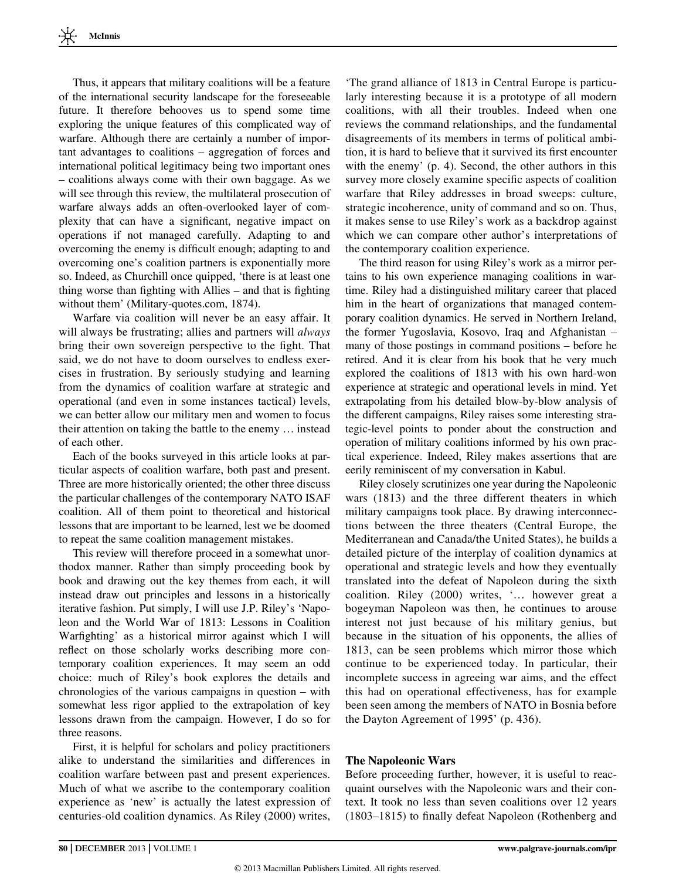Thus, it appears that military coalitions will be a feature of the international security landscape for the foreseeable future. It therefore behooves us to spend some time exploring the unique features of this complicated way of warfare. Although there are certainly a number of important advantages to coalitions – aggregation of forces and international political legitimacy being two important ones – coalitions always come with their own baggage. As we will see through this review, the multilateral prosecution of warfare always adds an often-overlooked layer of complexity that can have a significant, negative impact on operations if not managed carefully. Adapting to and overcoming the enemy is difficult enough; adapting to and overcoming one's coalition partners is exponentially more so. Indeed, as Churchill once quipped, 'there is at least one thing worse than fighting with Allies – and that is fighting without them' (Military-quotes.com, 1874).

Warfare via coalition will never be an easy affair. It will always be frustrating; allies and partners will *always* bring their own sovereign perspective to the fight. That said, we do not have to doom ourselves to endless exercises in frustration. By seriously studying and learning from the dynamics of coalition warfare at strategic and operational (and even in some instances tactical) levels, we can better allow our military men and women to focus their attention on taking the battle to the enemy … instead of each other.

Each of the books surveyed in this article looks at particular aspects of coalition warfare, both past and present. Three are more historically oriented; the other three discuss the particular challenges of the contemporary NATO ISAF coalition. All of them point to theoretical and historical lessons that are important to be learned, lest we be doomed to repeat the same coalition management mistakes.

This review will therefore proceed in a somewhat unorthodox manner. Rather than simply proceeding book by book and drawing out the key themes from each, it will instead draw out principles and lessons in a historically iterative fashion. Put simply, I will use J.P. Riley's 'Napoleon and the World War of 1813: Lessons in Coalition Warfighting' as a historical mirror against which I will reflect on those scholarly works describing more contemporary coalition experiences. It may seem an odd choice: much of Riley's book explores the details and chronologies of the various campaigns in question – with somewhat less rigor applied to the extrapolation of key lessons drawn from the campaign. However, I do so for three reasons.

First, it is helpful for scholars and policy practitioners alike to understand the similarities and differences in coalition warfare between past and present experiences. Much of what we ascribe to the contemporary coalition experience as 'new' is actually the latest expression of centuries-old coalition dynamics. As Riley (2000) writes,

'The grand alliance of 1813 in Central Europe is particularly interesting because it is a prototype of all modern coalitions, with all their troubles. Indeed when one reviews the command relationships, and the fundamental disagreements of its members in terms of political ambition, it is hard to believe that it survived its first encounter with the enemy' (p. 4). Second, the other authors in this survey more closely examine specific aspects of coalition warfare that Riley addresses in broad sweeps: culture, strategic incoherence, unity of command and so on. Thus, it makes sense to use Riley's work as a backdrop against which we can compare other author's interpretations of the contemporary coalition experience.

The third reason for using Riley's work as a mirror pertains to his own experience managing coalitions in wartime. Riley had a distinguished military career that placed him in the heart of organizations that managed contemporary coalition dynamics. He served in Northern Ireland, the former Yugoslavia, Kosovo, Iraq and Afghanistan – many of those postings in command positions – before he retired. And it is clear from his book that he very much explored the coalitions of 1813 with his own hard-won experience at strategic and operational levels in mind. Yet extrapolating from his detailed blow-by-blow analysis of the different campaigns, Riley raises some interesting strategic-level points to ponder about the construction and operation of military coalitions informed by his own practical experience. Indeed, Riley makes assertions that are eerily reminiscent of my conversation in Kabul.

Riley closely scrutinizes one year during the Napoleonic wars (1813) and the three different theaters in which military campaigns took place. By drawing interconnections between the three theaters (Central Europe, the Mediterranean and Canada/the United States), he builds a detailed picture of the interplay of coalition dynamics at operational and strategic levels and how they eventually translated into the defeat of Napoleon during the sixth coalition. Riley (2000) writes, '… however great a bogeyman Napoleon was then, he continues to arouse interest not just because of his military genius, but because in the situation of his opponents, the allies of 1813, can be seen problems which mirror those which continue to be experienced today. In particular, their incomplete success in agreeing war aims, and the effect this had on operational effectiveness, has for example been seen among the members of NATO in Bosnia before the Dayton Agreement of 1995' (p. 436).

#### The Napoleonic Wars

Before proceeding further, however, it is useful to reacquaint ourselves with the Napoleonic wars and their context. It took no less than seven coalitions over 12 years (1803–1815) to finally defeat Napoleon (Rothenberg and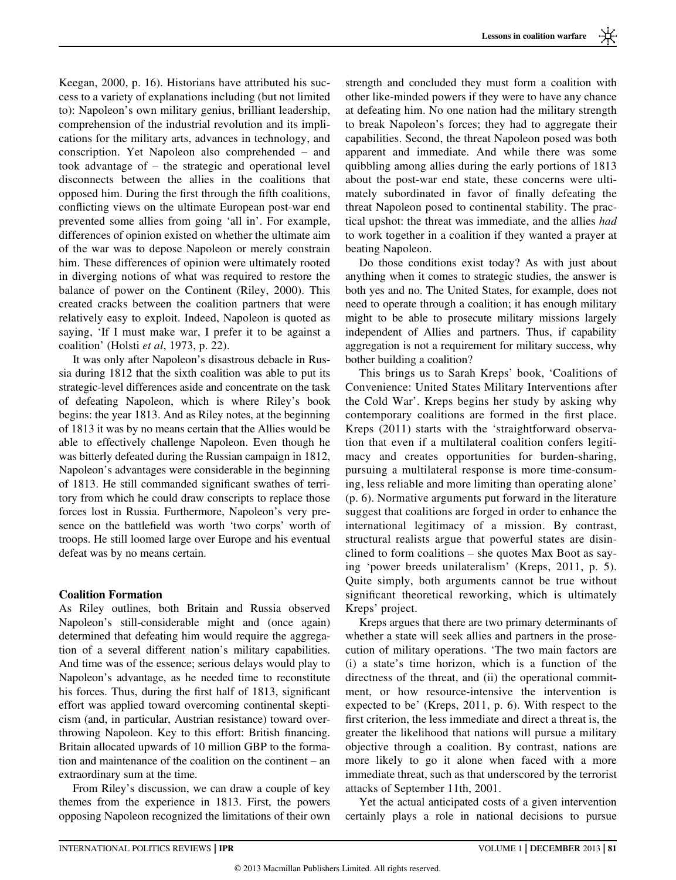Keegan, 2000, p. 16). Historians have attributed his success to a variety of explanations including (but not limited to): Napoleon's own military genius, brilliant leadership, comprehension of the industrial revolution and its implications for the military arts, advances in technology, and conscription. Yet Napoleon also comprehended – and took advantage of – the strategic and operational level disconnects between the allies in the coalitions that opposed him. During the first through the fifth coalitions, conflicting views on the ultimate European post-war end prevented some allies from going 'all in'. For example, differences of opinion existed on whether the ultimate aim of the war was to depose Napoleon or merely constrain him. These differences of opinion were ultimately rooted in diverging notions of what was required to restore the balance of power on the Continent (Riley, 2000). This created cracks between the coalition partners that were relatively easy to exploit. Indeed, Napoleon is quoted as saying, 'If I must make war, I prefer it to be against a coalition' (Holsti et al, 1973, p. 22).

It was only after Napoleon's disastrous debacle in Russia during 1812 that the sixth coalition was able to put its strategic-level differences aside and concentrate on the task of defeating Napoleon, which is where Riley's book begins: the year 1813. And as Riley notes, at the beginning of 1813 it was by no means certain that the Allies would be able to effectively challenge Napoleon. Even though he was bitterly defeated during the Russian campaign in 1812, Napoleon's advantages were considerable in the beginning of 1813. He still commanded significant swathes of territory from which he could draw conscripts to replace those forces lost in Russia. Furthermore, Napoleon's very presence on the battlefield was worth 'two corps' worth of troops. He still loomed large over Europe and his eventual defeat was by no means certain.

#### Coalition Formation

As Riley outlines, both Britain and Russia observed Napoleon's still-considerable might and (once again) determined that defeating him would require the aggregation of a several different nation's military capabilities. And time was of the essence; serious delays would play to Napoleon's advantage, as he needed time to reconstitute his forces. Thus, during the first half of 1813, significant effort was applied toward overcoming continental skepticism (and, in particular, Austrian resistance) toward overthrowing Napoleon. Key to this effort: British financing. Britain allocated upwards of 10 million GBP to the formation and maintenance of the coalition on the continent – an extraordinary sum at the time.

From Riley's discussion, we can draw a couple of key themes from the experience in 1813. First, the powers opposing Napoleon recognized the limitations of their own strength and concluded they must form a coalition with other like-minded powers if they were to have any chance at defeating him. No one nation had the military strength to break Napoleon's forces; they had to aggregate their capabilities. Second, the threat Napoleon posed was both apparent and immediate. And while there was some quibbling among allies during the early portions of 1813 about the post-war end state, these concerns were ultimately subordinated in favor of finally defeating the threat Napoleon posed to continental stability. The practical upshot: the threat was immediate, and the allies had to work together in a coalition if they wanted a prayer at beating Napoleon.

Do those conditions exist today? As with just about anything when it comes to strategic studies, the answer is both yes and no. The United States, for example, does not need to operate through a coalition; it has enough military might to be able to prosecute military missions largely independent of Allies and partners. Thus, if capability aggregation is not a requirement for military success, why bother building a coalition?

This brings us to Sarah Kreps' book, 'Coalitions of Convenience: United States Military Interventions after the Cold War'. Kreps begins her study by asking why contemporary coalitions are formed in the first place. Kreps (2011) starts with the 'straightforward observation that even if a multilateral coalition confers legitimacy and creates opportunities for burden-sharing, pursuing a multilateral response is more time-consuming, less reliable and more limiting than operating alone' (p. 6). Normative arguments put forward in the literature suggest that coalitions are forged in order to enhance the international legitimacy of a mission. By contrast, structural realists argue that powerful states are disinclined to form coalitions – she quotes Max Boot as saying 'power breeds unilateralism' (Kreps, 2011, p. 5). Quite simply, both arguments cannot be true without significant theoretical reworking, which is ultimately Kreps' project.

Kreps argues that there are two primary determinants of whether a state will seek allies and partners in the prosecution of military operations. 'The two main factors are (i) a state's time horizon, which is a function of the directness of the threat, and (ii) the operational commitment, or how resource-intensive the intervention is expected to be' (Kreps, 2011, p. 6). With respect to the first criterion, the less immediate and direct a threat is, the greater the likelihood that nations will pursue a military objective through a coalition. By contrast, nations are more likely to go it alone when faced with a more immediate threat, such as that underscored by the terrorist attacks of September 11th, 2001.

Yet the actual anticipated costs of a given intervention certainly plays a role in national decisions to pursue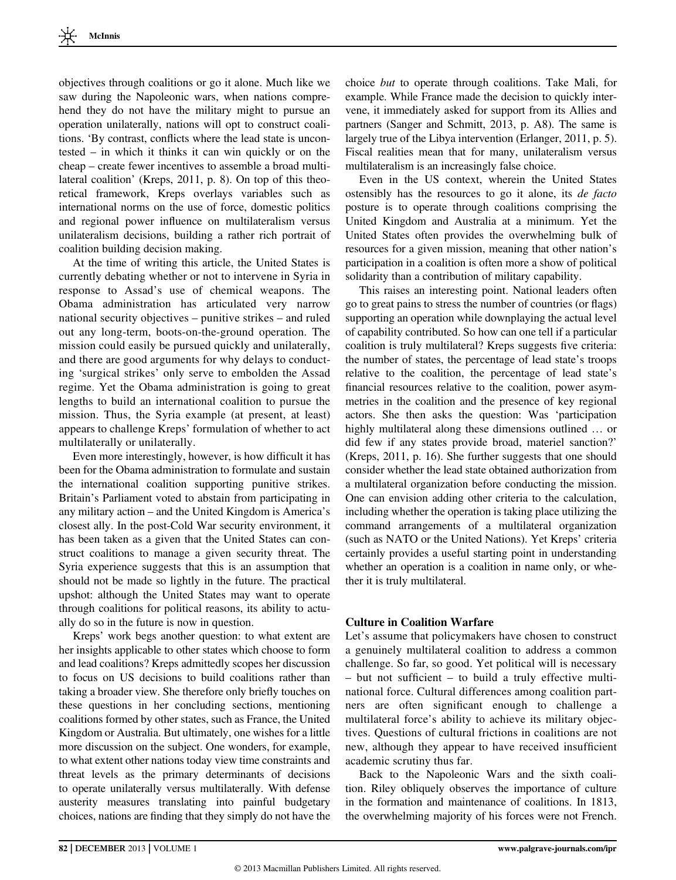objectives through coalitions or go it alone. Much like we saw during the Napoleonic wars, when nations comprehend they do not have the military might to pursue an operation unilaterally, nations will opt to construct coalitions. 'By contrast, conflicts where the lead state is uncontested – in which it thinks it can win quickly or on the cheap – create fewer incentives to assemble a broad multilateral coalition' (Kreps, 2011, p. 8). On top of this theoretical framework, Kreps overlays variables such as international norms on the use of force, domestic politics and regional power influence on multilateralism versus unilateralism decisions, building a rather rich portrait of coalition building decision making.

At the time of writing this article, the United States is currently debating whether or not to intervene in Syria in response to Assad's use of chemical weapons. The Obama administration has articulated very narrow national security objectives – punitive strikes – and ruled out any long-term, boots-on-the-ground operation. The mission could easily be pursued quickly and unilaterally, and there are good arguments for why delays to conducting 'surgical strikes' only serve to embolden the Assad regime. Yet the Obama administration is going to great lengths to build an international coalition to pursue the mission. Thus, the Syria example (at present, at least) appears to challenge Kreps' formulation of whether to act multilaterally or unilaterally.

Even more interestingly, however, is how difficult it has been for the Obama administration to formulate and sustain the international coalition supporting punitive strikes. Britain's Parliament voted to abstain from participating in any military action – and the United Kingdom is America's closest ally. In the post-Cold War security environment, it has been taken as a given that the United States can construct coalitions to manage a given security threat. The Syria experience suggests that this is an assumption that should not be made so lightly in the future. The practical upshot: although the United States may want to operate through coalitions for political reasons, its ability to actually do so in the future is now in question.

Kreps' work begs another question: to what extent are her insights applicable to other states which choose to form and lead coalitions? Kreps admittedly scopes her discussion to focus on US decisions to build coalitions rather than taking a broader view. She therefore only briefly touches on these questions in her concluding sections, mentioning coalitions formed by other states, such as France, the United Kingdom or Australia. But ultimately, one wishes for a little more discussion on the subject. One wonders, for example, to what extent other nations today view time constraints and threat levels as the primary determinants of decisions to operate unilaterally versus multilaterally. With defense austerity measures translating into painful budgetary choices, nations are finding that they simply do not have the choice but to operate through coalitions. Take Mali, for example. While France made the decision to quickly intervene, it immediately asked for support from its Allies and partners (Sanger and Schmitt, 2013, p. A8). The same is largely true of the Libya intervention (Erlanger, 2011, p. 5). Fiscal realities mean that for many, unilateralism versus multilateralism is an increasingly false choice.

Even in the US context, wherein the United States ostensibly has the resources to go it alone, its de facto posture is to operate through coalitions comprising the United Kingdom and Australia at a minimum. Yet the United States often provides the overwhelming bulk of resources for a given mission, meaning that other nation's participation in a coalition is often more a show of political solidarity than a contribution of military capability.

This raises an interesting point. National leaders often go to great pains to stress the number of countries (or flags) supporting an operation while downplaying the actual level of capability contributed. So how can one tell if a particular coalition is truly multilateral? Kreps suggests five criteria: the number of states, the percentage of lead state's troops relative to the coalition, the percentage of lead state's financial resources relative to the coalition, power asymmetries in the coalition and the presence of key regional actors. She then asks the question: Was 'participation highly multilateral along these dimensions outlined … or did few if any states provide broad, materiel sanction?' (Kreps, 2011, p. 16). She further suggests that one should consider whether the lead state obtained authorization from a multilateral organization before conducting the mission. One can envision adding other criteria to the calculation, including whether the operation is taking place utilizing the command arrangements of a multilateral organization (such as NATO or the United Nations). Yet Kreps' criteria certainly provides a useful starting point in understanding whether an operation is a coalition in name only, or whether it is truly multilateral.

#### Culture in Coalition Warfare

Let's assume that policymakers have chosen to construct a genuinely multilateral coalition to address a common challenge. So far, so good. Yet political will is necessary – but not sufficient – to build a truly effective multinational force. Cultural differences among coalition partners are often significant enough to challenge a multilateral force's ability to achieve its military objectives. Questions of cultural frictions in coalitions are not new, although they appear to have received insufficient academic scrutiny thus far.

Back to the Napoleonic Wars and the sixth coalition. Riley obliquely observes the importance of culture in the formation and maintenance of coalitions. In 1813, the overwhelming majority of his forces were not French.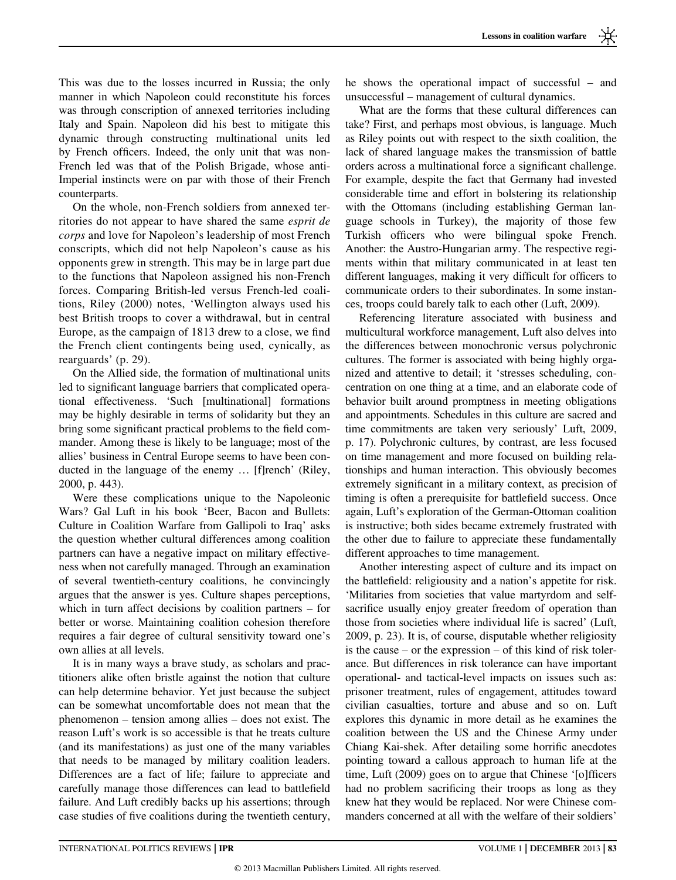This was due to the losses incurred in Russia; the only manner in which Napoleon could reconstitute his forces was through conscription of annexed territories including Italy and Spain. Napoleon did his best to mitigate this dynamic through constructing multinational units led by French officers. Indeed, the only unit that was non-French led was that of the Polish Brigade, whose anti-Imperial instincts were on par with those of their French counterparts.

On the whole, non-French soldiers from annexed territories do not appear to have shared the same esprit de corps and love for Napoleon's leadership of most French conscripts, which did not help Napoleon's cause as his opponents grew in strength. This may be in large part due to the functions that Napoleon assigned his non-French forces. Comparing British-led versus French-led coalitions, Riley (2000) notes, 'Wellington always used his best British troops to cover a withdrawal, but in central Europe, as the campaign of 1813 drew to a close, we find the French client contingents being used, cynically, as rearguards' (p. 29).

On the Allied side, the formation of multinational units led to significant language barriers that complicated operational effectiveness. 'Such [multinational] formations may be highly desirable in terms of solidarity but they an bring some significant practical problems to the field commander. Among these is likely to be language; most of the allies' business in Central Europe seems to have been conducted in the language of the enemy … [f]rench' (Riley, 2000, p. 443).

Were these complications unique to the Napoleonic Wars? Gal Luft in his book 'Beer, Bacon and Bullets: Culture in Coalition Warfare from Gallipoli to Iraq' asks the question whether cultural differences among coalition partners can have a negative impact on military effectiveness when not carefully managed. Through an examination of several twentieth-century coalitions, he convincingly argues that the answer is yes. Culture shapes perceptions, which in turn affect decisions by coalition partners – for better or worse. Maintaining coalition cohesion therefore requires a fair degree of cultural sensitivity toward one's own allies at all levels.

It is in many ways a brave study, as scholars and practitioners alike often bristle against the notion that culture can help determine behavior. Yet just because the subject can be somewhat uncomfortable does not mean that the phenomenon – tension among allies – does not exist. The reason Luft's work is so accessible is that he treats culture (and its manifestations) as just one of the many variables that needs to be managed by military coalition leaders. Differences are a fact of life; failure to appreciate and carefully manage those differences can lead to battlefield failure. And Luft credibly backs up his assertions; through case studies of five coalitions during the twentieth century, he shows the operational impact of successful – and unsuccessful – management of cultural dynamics.

What are the forms that these cultural differences can take? First, and perhaps most obvious, is language. Much as Riley points out with respect to the sixth coalition, the lack of shared language makes the transmission of battle orders across a multinational force a significant challenge. For example, despite the fact that Germany had invested considerable time and effort in bolstering its relationship with the Ottomans (including establishing German language schools in Turkey), the majority of those few Turkish officers who were bilingual spoke French. Another: the Austro-Hungarian army. The respective regiments within that military communicated in at least ten different languages, making it very difficult for officers to communicate orders to their subordinates. In some instances, troops could barely talk to each other (Luft, 2009).

Referencing literature associated with business and multicultural workforce management, Luft also delves into the differences between monochronic versus polychronic cultures. The former is associated with being highly organized and attentive to detail; it 'stresses scheduling, concentration on one thing at a time, and an elaborate code of behavior built around promptness in meeting obligations and appointments. Schedules in this culture are sacred and time commitments are taken very seriously' Luft, 2009, p. 17). Polychronic cultures, by contrast, are less focused on time management and more focused on building relationships and human interaction. This obviously becomes extremely significant in a military context, as precision of timing is often a prerequisite for battlefield success. Once again, Luft's exploration of the German-Ottoman coalition is instructive; both sides became extremely frustrated with the other due to failure to appreciate these fundamentally different approaches to time management.

Another interesting aspect of culture and its impact on the battlefield: religiousity and a nation's appetite for risk. 'Militaries from societies that value martyrdom and selfsacrifice usually enjoy greater freedom of operation than those from societies where individual life is sacred' (Luft, 2009, p. 23). It is, of course, disputable whether religiosity is the cause – or the expression – of this kind of risk tolerance. But differences in risk tolerance can have important operational- and tactical-level impacts on issues such as: prisoner treatment, rules of engagement, attitudes toward civilian casualties, torture and abuse and so on. Luft explores this dynamic in more detail as he examines the coalition between the US and the Chinese Army under Chiang Kai-shek. After detailing some horrific anecdotes pointing toward a callous approach to human life at the time, Luft (2009) goes on to argue that Chinese '[o]fficers had no problem sacrificing their troops as long as they knew hat they would be replaced. Nor were Chinese commanders concerned at all with the welfare of their soldiers'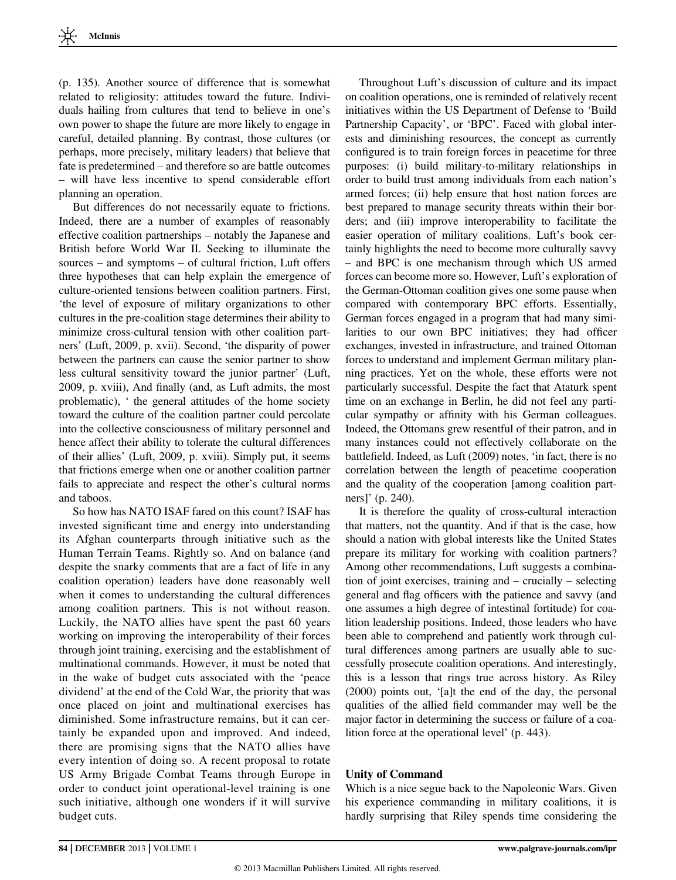(p. 135). Another source of difference that is somewhat related to religiosity: attitudes toward the future. Individuals hailing from cultures that tend to believe in one's own power to shape the future are more likely to engage in careful, detailed planning. By contrast, those cultures (or perhaps, more precisely, military leaders) that believe that fate is predetermined – and therefore so are battle outcomes – will have less incentive to spend considerable effort planning an operation.

But differences do not necessarily equate to frictions. Indeed, there are a number of examples of reasonably effective coalition partnerships – notably the Japanese and British before World War II. Seeking to illuminate the sources – and symptoms – of cultural friction, Luft offers three hypotheses that can help explain the emergence of culture-oriented tensions between coalition partners. First, 'the level of exposure of military organizations to other cultures in the pre-coalition stage determines their ability to minimize cross-cultural tension with other coalition partners' (Luft, 2009, p. xvii). Second, 'the disparity of power between the partners can cause the senior partner to show less cultural sensitivity toward the junior partner' (Luft, 2009, p. xviii), And finally (and, as Luft admits, the most problematic), ' the general attitudes of the home society toward the culture of the coalition partner could percolate into the collective consciousness of military personnel and hence affect their ability to tolerate the cultural differences of their allies' (Luft, 2009, p. xviii). Simply put, it seems that frictions emerge when one or another coalition partner fails to appreciate and respect the other's cultural norms and taboos.

So how has NATO ISAF fared on this count? ISAF has invested significant time and energy into understanding its Afghan counterparts through initiative such as the Human Terrain Teams. Rightly so. And on balance (and despite the snarky comments that are a fact of life in any coalition operation) leaders have done reasonably well when it comes to understanding the cultural differences among coalition partners. This is not without reason. Luckily, the NATO allies have spent the past 60 years working on improving the interoperability of their forces through joint training, exercising and the establishment of multinational commands. However, it must be noted that in the wake of budget cuts associated with the 'peace dividend' at the end of the Cold War, the priority that was once placed on joint and multinational exercises has diminished. Some infrastructure remains, but it can certainly be expanded upon and improved. And indeed, there are promising signs that the NATO allies have every intention of doing so. A recent proposal to rotate US Army Brigade Combat Teams through Europe in order to conduct joint operational-level training is one such initiative, although one wonders if it will survive budget cuts.

Throughout Luft's discussion of culture and its impact on coalition operations, one is reminded of relatively recent initiatives within the US Department of Defense to 'Build Partnership Capacity', or 'BPC'. Faced with global interests and diminishing resources, the concept as currently configured is to train foreign forces in peacetime for three purposes: (i) build military-to-military relationships in order to build trust among individuals from each nation's armed forces; (ii) help ensure that host nation forces are best prepared to manage security threats within their borders; and (iii) improve interoperability to facilitate the easier operation of military coalitions. Luft's book certainly highlights the need to become more culturally savvy – and BPC is one mechanism through which US armed forces can become more so. However, Luft's exploration of the German-Ottoman coalition gives one some pause when compared with contemporary BPC efforts. Essentially, German forces engaged in a program that had many similarities to our own BPC initiatives; they had officer exchanges, invested in infrastructure, and trained Ottoman forces to understand and implement German military planning practices. Yet on the whole, these efforts were not particularly successful. Despite the fact that Ataturk spent time on an exchange in Berlin, he did not feel any particular sympathy or affinity with his German colleagues. Indeed, the Ottomans grew resentful of their patron, and in many instances could not effectively collaborate on the battlefield. Indeed, as Luft (2009) notes, 'in fact, there is no correlation between the length of peacetime cooperation and the quality of the cooperation [among coalition partners]' (p. 240).

It is therefore the quality of cross-cultural interaction that matters, not the quantity. And if that is the case, how should a nation with global interests like the United States prepare its military for working with coalition partners? Among other recommendations, Luft suggests a combination of joint exercises, training and – crucially – selecting general and flag officers with the patience and savvy (and one assumes a high degree of intestinal fortitude) for coalition leadership positions. Indeed, those leaders who have been able to comprehend and patiently work through cultural differences among partners are usually able to successfully prosecute coalition operations. And interestingly, this is a lesson that rings true across history. As Riley (2000) points out, '[a]t the end of the day, the personal qualities of the allied field commander may well be the major factor in determining the success or failure of a coalition force at the operational level' (p. 443).

#### Unity of Command

Which is a nice segue back to the Napoleonic Wars. Given his experience commanding in military coalitions, it is hardly surprising that Riley spends time considering the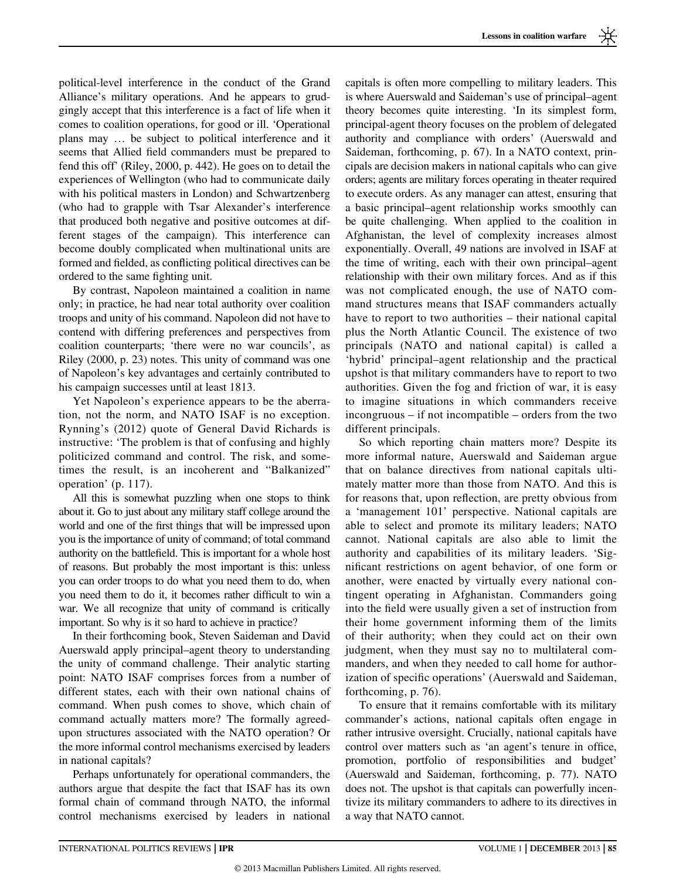political-level interference in the conduct of the Grand Alliance's military operations. And he appears to grudgingly accept that this interference is a fact of life when it comes to coalition operations, for good or ill. 'Operational plans may … be subject to political interference and it seems that Allied field commanders must be prepared to fend this off' (Riley, 2000, p. 442). He goes on to detail the experiences of Wellington (who had to communicate daily with his political masters in London) and Schwartzenberg (who had to grapple with Tsar Alexander's interference that produced both negative and positive outcomes at different stages of the campaign). This interference can become doubly complicated when multinational units are formed and fielded, as conflicting political directives can be ordered to the same fighting unit.

By contrast, Napoleon maintained a coalition in name only; in practice, he had near total authority over coalition troops and unity of his command. Napoleon did not have to contend with differing preferences and perspectives from coalition counterparts; 'there were no war councils', as Riley (2000, p. 23) notes. This unity of command was one of Napoleon's key advantages and certainly contributed to his campaign successes until at least 1813.

Yet Napoleon's experience appears to be the aberration, not the norm, and NATO ISAF is no exception. Rynning's (2012) quote of General David Richards is instructive: 'The problem is that of confusing and highly politicized command and control. The risk, and sometimes the result, is an incoherent and "Balkanized" operation' (p. 117).

All this is somewhat puzzling when one stops to think about it. Go to just about any military staff college around the world and one of the first things that will be impressed upon you is the importance of unity of command; of total command authority on the battlefield. This is important for a whole host of reasons. But probably the most important is this: unless you can order troops to do what you need them to do, when you need them to do it, it becomes rather difficult to win a war. We all recognize that unity of command is critically important. So why is it so hard to achieve in practice?

In their forthcoming book, Steven Saideman and David Auerswald apply principal–agent theory to understanding the unity of command challenge. Their analytic starting point: NATO ISAF comprises forces from a number of different states, each with their own national chains of command. When push comes to shove, which chain of command actually matters more? The formally agreedupon structures associated with the NATO operation? Or the more informal control mechanisms exercised by leaders in national capitals?

Perhaps unfortunately for operational commanders, the authors argue that despite the fact that ISAF has its own formal chain of command through NATO, the informal control mechanisms exercised by leaders in national capitals is often more compelling to military leaders. This is where Auerswald and Saideman's use of principal–agent theory becomes quite interesting. 'In its simplest form, principal-agent theory focuses on the problem of delegated authority and compliance with orders' (Auerswald and Saideman, forthcoming, p. 67). In a NATO context, principals are decision makers in national capitals who can give orders; agents are military forces operating in theater required to execute orders. As any manager can attest, ensuring that a basic principal–agent relationship works smoothly can be quite challenging. When applied to the coalition in Afghanistan, the level of complexity increases almost exponentially. Overall, 49 nations are involved in ISAF at the time of writing, each with their own principal–agent relationship with their own military forces. And as if this was not complicated enough, the use of NATO command structures means that ISAF commanders actually have to report to two authorities – their national capital plus the North Atlantic Council. The existence of two principals (NATO and national capital) is called a 'hybrid' principal–agent relationship and the practical upshot is that military commanders have to report to two authorities. Given the fog and friction of war, it is easy to imagine situations in which commanders receive incongruous – if not incompatible – orders from the two different principals.

So which reporting chain matters more? Despite its more informal nature, Auerswald and Saideman argue that on balance directives from national capitals ultimately matter more than those from NATO. And this is for reasons that, upon reflection, are pretty obvious from a 'management 101' perspective. National capitals are able to select and promote its military leaders; NATO cannot. National capitals are also able to limit the authority and capabilities of its military leaders. 'Significant restrictions on agent behavior, of one form or another, were enacted by virtually every national contingent operating in Afghanistan. Commanders going into the field were usually given a set of instruction from their home government informing them of the limits of their authority; when they could act on their own judgment, when they must say no to multilateral commanders, and when they needed to call home for authorization of specific operations' (Auerswald and Saideman, forthcoming, p. 76).

To ensure that it remains comfortable with its military commander's actions, national capitals often engage in rather intrusive oversight. Crucially, national capitals have control over matters such as 'an agent's tenure in office, promotion, portfolio of responsibilities and budget' (Auerswald and Saideman, forthcoming, p. 77). NATO does not. The upshot is that capitals can powerfully incentivize its military commanders to adhere to its directives in a way that NATO cannot.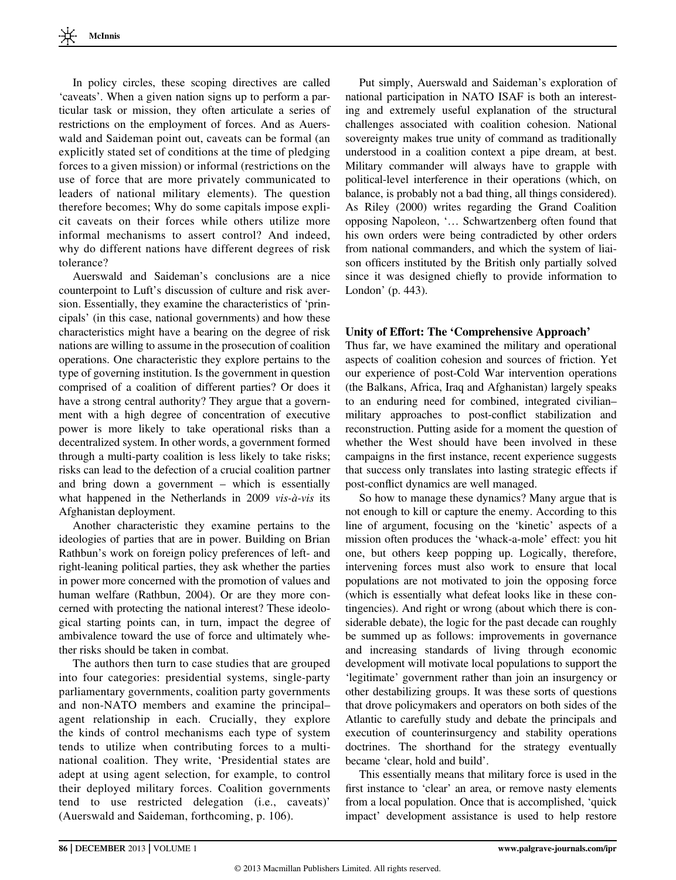In policy circles, these scoping directives are called 'caveats'. When a given nation signs up to perform a particular task or mission, they often articulate a series of restrictions on the employment of forces. And as Auerswald and Saideman point out, caveats can be formal (an explicitly stated set of conditions at the time of pledging forces to a given mission) or informal (restrictions on the use of force that are more privately communicated to leaders of national military elements). The question therefore becomes; Why do some capitals impose explicit caveats on their forces while others utilize more informal mechanisms to assert control? And indeed, why do different nations have different degrees of risk tolerance?

Auerswald and Saideman's conclusions are a nice counterpoint to Luft's discussion of culture and risk aversion. Essentially, they examine the characteristics of 'principals' (in this case, national governments) and how these characteristics might have a bearing on the degree of risk nations are willing to assume in the prosecution of coalition operations. One characteristic they explore pertains to the type of governing institution. Is the government in question comprised of a coalition of different parties? Or does it have a strong central authority? They argue that a government with a high degree of concentration of executive power is more likely to take operational risks than a decentralized system. In other words, a government formed through a multi-party coalition is less likely to take risks; risks can lead to the defection of a crucial coalition partner and bring down a government – which is essentially what happened in the Netherlands in 2009 vis-à-vis its Afghanistan deployment.

Another characteristic they examine pertains to the ideologies of parties that are in power. Building on Brian Rathbun's work on foreign policy preferences of left- and right-leaning political parties, they ask whether the parties in power more concerned with the promotion of values and human welfare (Rathbun, 2004). Or are they more concerned with protecting the national interest? These ideological starting points can, in turn, impact the degree of ambivalence toward the use of force and ultimately whether risks should be taken in combat.

The authors then turn to case studies that are grouped into four categories: presidential systems, single-party parliamentary governments, coalition party governments and non-NATO members and examine the principal– agent relationship in each. Crucially, they explore the kinds of control mechanisms each type of system tends to utilize when contributing forces to a multinational coalition. They write, 'Presidential states are adept at using agent selection, for example, to control their deployed military forces. Coalition governments tend to use restricted delegation (i.e., caveats)' (Auerswald and Saideman, forthcoming, p. 106).

Put simply, Auerswald and Saideman's exploration of national participation in NATO ISAF is both an interesting and extremely useful explanation of the structural challenges associated with coalition cohesion. National sovereignty makes true unity of command as traditionally understood in a coalition context a pipe dream, at best. Military commander will always have to grapple with political-level interference in their operations (which, on balance, is probably not a bad thing, all things considered). As Riley (2000) writes regarding the Grand Coalition opposing Napoleon, '… Schwartzenberg often found that his own orders were being contradicted by other orders from national commanders, and which the system of liaison officers instituted by the British only partially solved since it was designed chiefly to provide information to London' (p. 443).

#### Unity of Effort: The 'Comprehensive Approach'

Thus far, we have examined the military and operational aspects of coalition cohesion and sources of friction. Yet our experience of post-Cold War intervention operations (the Balkans, Africa, Iraq and Afghanistan) largely speaks to an enduring need for combined, integrated civilian– military approaches to post-conflict stabilization and reconstruction. Putting aside for a moment the question of whether the West should have been involved in these campaigns in the first instance, recent experience suggests that success only translates into lasting strategic effects if post-conflict dynamics are well managed.

So how to manage these dynamics? Many argue that is not enough to kill or capture the enemy. According to this line of argument, focusing on the 'kinetic' aspects of a mission often produces the 'whack-a-mole' effect: you hit one, but others keep popping up. Logically, therefore, intervening forces must also work to ensure that local populations are not motivated to join the opposing force (which is essentially what defeat looks like in these contingencies). And right or wrong (about which there is considerable debate), the logic for the past decade can roughly be summed up as follows: improvements in governance and increasing standards of living through economic development will motivate local populations to support the 'legitimate' government rather than join an insurgency or other destabilizing groups. It was these sorts of questions that drove policymakers and operators on both sides of the Atlantic to carefully study and debate the principals and execution of counterinsurgency and stability operations doctrines. The shorthand for the strategy eventually became 'clear, hold and build'.

This essentially means that military force is used in the first instance to 'clear' an area, or remove nasty elements from a local population. Once that is accomplished, 'quick impact' development assistance is used to help restore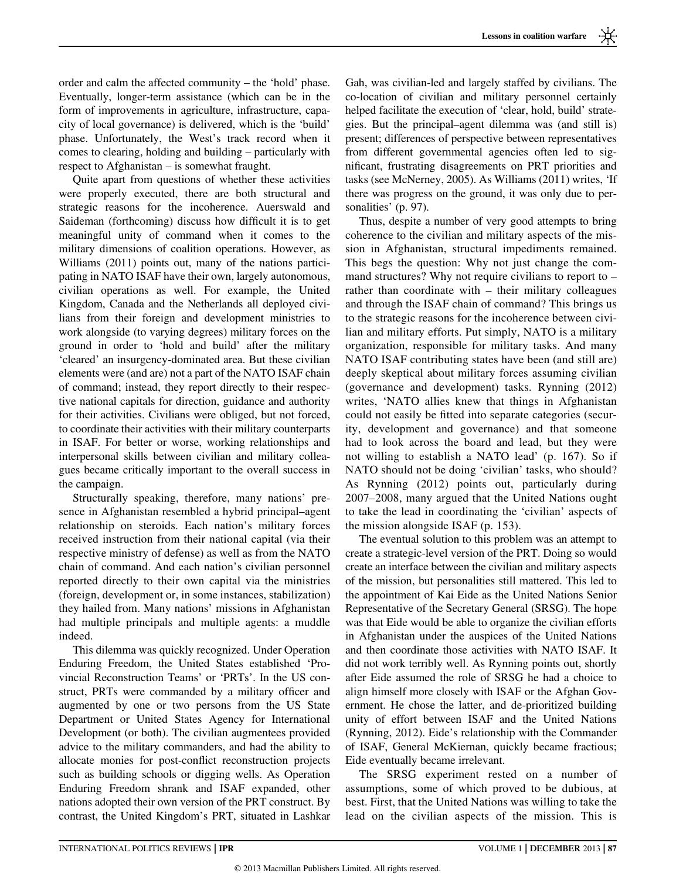order and calm the affected community – the 'hold' phase. Eventually, longer-term assistance (which can be in the form of improvements in agriculture, infrastructure, capacity of local governance) is delivered, which is the 'build' phase. Unfortunately, the West's track record when it comes to clearing, holding and building – particularly with respect to Afghanistan – is somewhat fraught.

Quite apart from questions of whether these activities were properly executed, there are both structural and strategic reasons for the incoherence. Auerswald and Saideman (forthcoming) discuss how difficult it is to get meaningful unity of command when it comes to the military dimensions of coalition operations. However, as Williams (2011) points out, many of the nations participating in NATO ISAF have their own, largely autonomous, civilian operations as well. For example, the United Kingdom, Canada and the Netherlands all deployed civilians from their foreign and development ministries to work alongside (to varying degrees) military forces on the ground in order to 'hold and build' after the military 'cleared' an insurgency-dominated area. But these civilian elements were (and are) not a part of the NATO ISAF chain of command; instead, they report directly to their respective national capitals for direction, guidance and authority for their activities. Civilians were obliged, but not forced, to coordinate their activities with their military counterparts in ISAF. For better or worse, working relationships and interpersonal skills between civilian and military colleagues became critically important to the overall success in the campaign.

Structurally speaking, therefore, many nations' presence in Afghanistan resembled a hybrid principal–agent relationship on steroids. Each nation's military forces received instruction from their national capital (via their respective ministry of defense) as well as from the NATO chain of command. And each nation's civilian personnel reported directly to their own capital via the ministries (foreign, development or, in some instances, stabilization) they hailed from. Many nations' missions in Afghanistan had multiple principals and multiple agents: a muddle indeed.

This dilemma was quickly recognized. Under Operation Enduring Freedom, the United States established 'Provincial Reconstruction Teams' or 'PRTs'. In the US construct, PRTs were commanded by a military officer and augmented by one or two persons from the US State Department or United States Agency for International Development (or both). The civilian augmentees provided advice to the military commanders, and had the ability to allocate monies for post-conflict reconstruction projects such as building schools or digging wells. As Operation Enduring Freedom shrank and ISAF expanded, other nations adopted their own version of the PRT construct. By contrast, the United Kingdom's PRT, situated in Lashkar Gah, was civilian-led and largely staffed by civilians. The co-location of civilian and military personnel certainly helped facilitate the execution of 'clear, hold, build' strategies. But the principal–agent dilemma was (and still is) present; differences of perspective between representatives from different governmental agencies often led to significant, frustrating disagreements on PRT priorities and tasks (see McNerney, 2005). As Williams (2011) writes, 'If there was progress on the ground, it was only due to personalities' (p. 97).

Thus, despite a number of very good attempts to bring coherence to the civilian and military aspects of the mission in Afghanistan, structural impediments remained. This begs the question: Why not just change the command structures? Why not require civilians to report to – rather than coordinate with – their military colleagues and through the ISAF chain of command? This brings us to the strategic reasons for the incoherence between civilian and military efforts. Put simply, NATO is a military organization, responsible for military tasks. And many NATO ISAF contributing states have been (and still are) deeply skeptical about military forces assuming civilian (governance and development) tasks. Rynning (2012) writes, 'NATO allies knew that things in Afghanistan could not easily be fitted into separate categories (security, development and governance) and that someone had to look across the board and lead, but they were not willing to establish a NATO lead' (p. 167). So if NATO should not be doing 'civilian' tasks, who should? As Rynning (2012) points out, particularly during 2007–2008, many argued that the United Nations ought to take the lead in coordinating the 'civilian' aspects of the mission alongside ISAF (p. 153).

The eventual solution to this problem was an attempt to create a strategic-level version of the PRT. Doing so would create an interface between the civilian and military aspects of the mission, but personalities still mattered. This led to the appointment of Kai Eide as the United Nations Senior Representative of the Secretary General (SRSG). The hope was that Eide would be able to organize the civilian efforts in Afghanistan under the auspices of the United Nations and then coordinate those activities with NATO ISAF. It did not work terribly well. As Rynning points out, shortly after Eide assumed the role of SRSG he had a choice to align himself more closely with ISAF or the Afghan Government. He chose the latter, and de-prioritized building unity of effort between ISAF and the United Nations (Rynning, 2012). Eide's relationship with the Commander of ISAF, General McKiernan, quickly became fractious; Eide eventually became irrelevant.

The SRSG experiment rested on a number of assumptions, some of which proved to be dubious, at best. First, that the United Nations was willing to take the lead on the civilian aspects of the mission. This is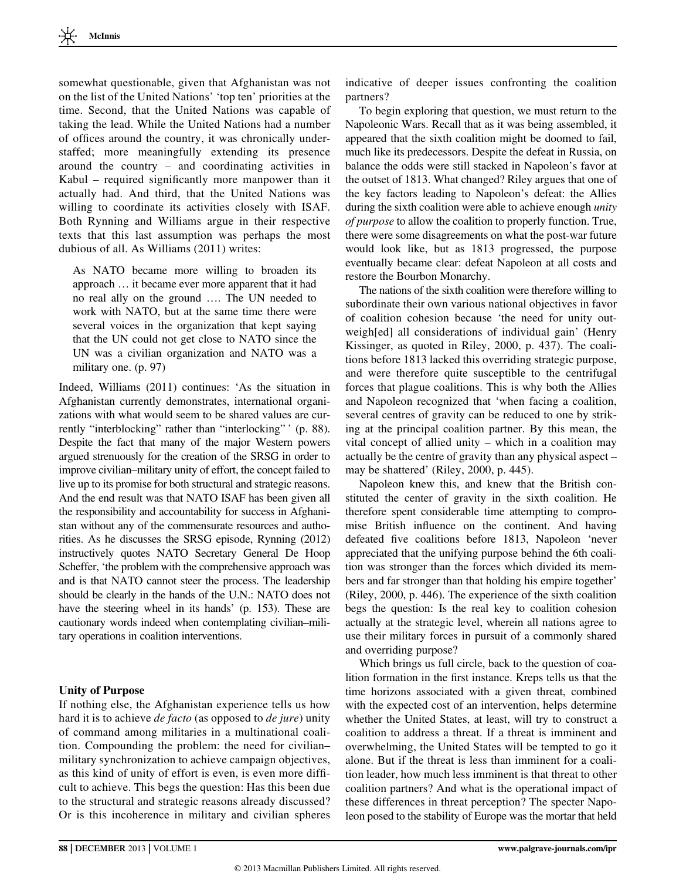somewhat questionable, given that Afghanistan was not on the list of the United Nations' 'top ten' priorities at the time. Second, that the United Nations was capable of taking the lead. While the United Nations had a number of offices around the country, it was chronically understaffed; more meaningfully extending its presence around the country – and coordinating activities in Kabul – required significantly more manpower than it actually had. And third, that the United Nations was willing to coordinate its activities closely with ISAF. Both Rynning and Williams argue in their respective texts that this last assumption was perhaps the most dubious of all. As Williams (2011) writes:

As NATO became more willing to broaden its approach … it became ever more apparent that it had no real ally on the ground …. The UN needed to work with NATO, but at the same time there were several voices in the organization that kept saying that the UN could not get close to NATO since the UN was a civilian organization and NATO was a military one. (p. 97)

Indeed, Williams (2011) continues: 'As the situation in Afghanistan currently demonstrates, international organizations with what would seem to be shared values are currently "interblocking" rather than "interlocking" ' (p. 88). Despite the fact that many of the major Western powers argued strenuously for the creation of the SRSG in order to improve civilian–military unity of effort, the concept failed to live up to its promise for both structural and strategic reasons. And the end result was that NATO ISAF has been given all the responsibility and accountability for success in Afghanistan without any of the commensurate resources and authorities. As he discusses the SRSG episode, Rynning (2012) instructively quotes NATO Secretary General De Hoop Scheffer, 'the problem with the comprehensive approach was and is that NATO cannot steer the process. The leadership should be clearly in the hands of the U.N.: NATO does not have the steering wheel in its hands' (p. 153). These are cautionary words indeed when contemplating civilian–military operations in coalition interventions.

#### Unity of Purpose

If nothing else, the Afghanistan experience tells us how hard it is to achieve *de facto* (as opposed to *de jure*) unity of command among militaries in a multinational coalition. Compounding the problem: the need for civilian– military synchronization to achieve campaign objectives, as this kind of unity of effort is even, is even more difficult to achieve. This begs the question: Has this been due to the structural and strategic reasons already discussed? Or is this incoherence in military and civilian spheres indicative of deeper issues confronting the coalition partners?

To begin exploring that question, we must return to the Napoleonic Wars. Recall that as it was being assembled, it appeared that the sixth coalition might be doomed to fail, much like its predecessors. Despite the defeat in Russia, on balance the odds were still stacked in Napoleon's favor at the outset of 1813. What changed? Riley argues that one of the key factors leading to Napoleon's defeat: the Allies during the sixth coalition were able to achieve enough *unity* of purpose to allow the coalition to properly function. True, there were some disagreements on what the post-war future would look like, but as 1813 progressed, the purpose eventually became clear: defeat Napoleon at all costs and restore the Bourbon Monarchy.

The nations of the sixth coalition were therefore willing to subordinate their own various national objectives in favor of coalition cohesion because 'the need for unity outweigh[ed] all considerations of individual gain' (Henry Kissinger, as quoted in Riley, 2000, p. 437). The coalitions before 1813 lacked this overriding strategic purpose, and were therefore quite susceptible to the centrifugal forces that plague coalitions. This is why both the Allies and Napoleon recognized that 'when facing a coalition, several centres of gravity can be reduced to one by striking at the principal coalition partner. By this mean, the vital concept of allied unity – which in a coalition may actually be the centre of gravity than any physical aspect – may be shattered' (Riley, 2000, p. 445).

Napoleon knew this, and knew that the British constituted the center of gravity in the sixth coalition. He therefore spent considerable time attempting to compromise British influence on the continent. And having defeated five coalitions before 1813, Napoleon 'never appreciated that the unifying purpose behind the 6th coalition was stronger than the forces which divided its members and far stronger than that holding his empire together' (Riley, 2000, p. 446). The experience of the sixth coalition begs the question: Is the real key to coalition cohesion actually at the strategic level, wherein all nations agree to use their military forces in pursuit of a commonly shared and overriding purpose?

Which brings us full circle, back to the question of coalition formation in the first instance. Kreps tells us that the time horizons associated with a given threat, combined with the expected cost of an intervention, helps determine whether the United States, at least, will try to construct a coalition to address a threat. If a threat is imminent and overwhelming, the United States will be tempted to go it alone. But if the threat is less than imminent for a coalition leader, how much less imminent is that threat to other coalition partners? And what is the operational impact of these differences in threat perception? The specter Napoleon posed to the stability of Europe was the mortar that held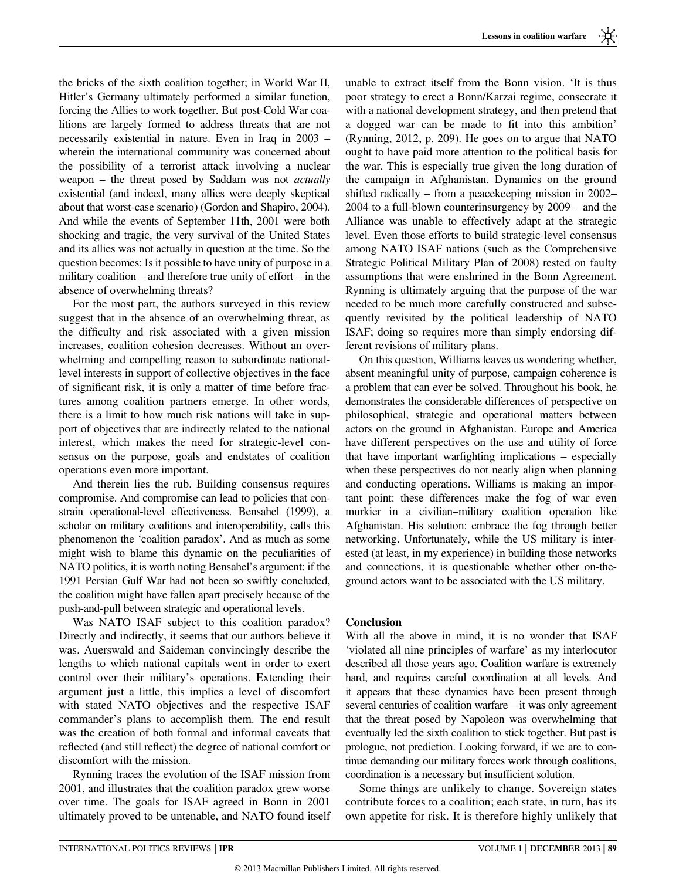the bricks of the sixth coalition together; in World War II, Hitler's Germany ultimately performed a similar function, forcing the Allies to work together. But post-Cold War coalitions are largely formed to address threats that are not necessarily existential in nature. Even in Iraq in 2003 – wherein the international community was concerned about the possibility of a terrorist attack involving a nuclear weapon – the threat posed by Saddam was not actually existential (and indeed, many allies were deeply skeptical about that worst-case scenario) (Gordon and Shapiro, 2004). And while the events of September 11th, 2001 were both shocking and tragic, the very survival of the United States and its allies was not actually in question at the time. So the question becomes: Is it possible to have unity of purpose in a military coalition – and therefore true unity of effort – in the absence of overwhelming threats?

For the most part, the authors surveyed in this review suggest that in the absence of an overwhelming threat, as the difficulty and risk associated with a given mission increases, coalition cohesion decreases. Without an overwhelming and compelling reason to subordinate nationallevel interests in support of collective objectives in the face of significant risk, it is only a matter of time before fractures among coalition partners emerge. In other words, there is a limit to how much risk nations will take in support of objectives that are indirectly related to the national interest, which makes the need for strategic-level consensus on the purpose, goals and endstates of coalition operations even more important.

And therein lies the rub. Building consensus requires compromise. And compromise can lead to policies that constrain operational-level effectiveness. Bensahel (1999), a scholar on military coalitions and interoperability, calls this phenomenon the 'coalition paradox'. And as much as some might wish to blame this dynamic on the peculiarities of NATO politics, it is worth noting Bensahel's argument: if the 1991 Persian Gulf War had not been so swiftly concluded, the coalition might have fallen apart precisely because of the push-and-pull between strategic and operational levels.

Was NATO ISAF subject to this coalition paradox? Directly and indirectly, it seems that our authors believe it was. Auerswald and Saideman convincingly describe the lengths to which national capitals went in order to exert control over their military's operations. Extending their argument just a little, this implies a level of discomfort with stated NATO objectives and the respective ISAF commander's plans to accomplish them. The end result was the creation of both formal and informal caveats that reflected (and still reflect) the degree of national comfort or discomfort with the mission.

Rynning traces the evolution of the ISAF mission from 2001, and illustrates that the coalition paradox grew worse over time. The goals for ISAF agreed in Bonn in 2001 ultimately proved to be untenable, and NATO found itself unable to extract itself from the Bonn vision. 'It is thus poor strategy to erect a Bonn/Karzai regime, consecrate it with a national development strategy, and then pretend that a dogged war can be made to fit into this ambition' (Rynning, 2012, p. 209). He goes on to argue that NATO ought to have paid more attention to the political basis for the war. This is especially true given the long duration of the campaign in Afghanistan. Dynamics on the ground shifted radically – from a peacekeeping mission in 2002– 2004 to a full-blown counterinsurgency by 2009 – and the Alliance was unable to effectively adapt at the strategic level. Even those efforts to build strategic-level consensus among NATO ISAF nations (such as the Comprehensive Strategic Political Military Plan of 2008) rested on faulty assumptions that were enshrined in the Bonn Agreement. Rynning is ultimately arguing that the purpose of the war needed to be much more carefully constructed and subsequently revisited by the political leadership of NATO ISAF; doing so requires more than simply endorsing different revisions of military plans.

On this question, Williams leaves us wondering whether, absent meaningful unity of purpose, campaign coherence is a problem that can ever be solved. Throughout his book, he demonstrates the considerable differences of perspective on philosophical, strategic and operational matters between actors on the ground in Afghanistan. Europe and America have different perspectives on the use and utility of force that have important warfighting implications – especially when these perspectives do not neatly align when planning and conducting operations. Williams is making an important point: these differences make the fog of war even murkier in a civilian–military coalition operation like Afghanistan. His solution: embrace the fog through better networking. Unfortunately, while the US military is interested (at least, in my experience) in building those networks and connections, it is questionable whether other on-theground actors want to be associated with the US military.

#### Conclusion

With all the above in mind, it is no wonder that ISAF 'violated all nine principles of warfare' as my interlocutor described all those years ago. Coalition warfare is extremely hard, and requires careful coordination at all levels. And it appears that these dynamics have been present through several centuries of coalition warfare – it was only agreement that the threat posed by Napoleon was overwhelming that eventually led the sixth coalition to stick together. But past is prologue, not prediction. Looking forward, if we are to continue demanding our military forces work through coalitions, coordination is a necessary but insufficient solution.

Some things are unlikely to change. Sovereign states contribute forces to a coalition; each state, in turn, has its own appetite for risk. It is therefore highly unlikely that